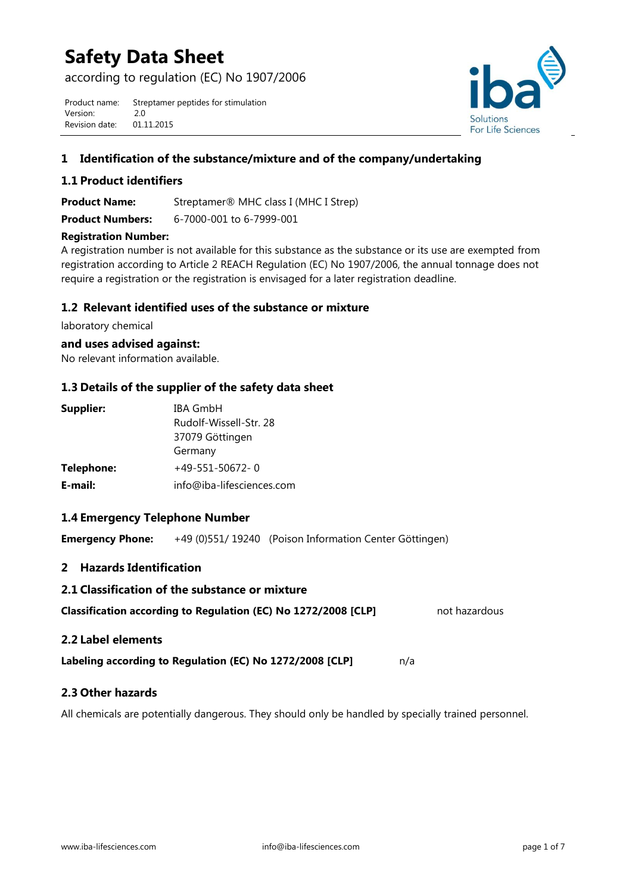# **Safety Data Sheet**

according to regulation (EC) No 1907/2006

Product name: Streptamer peptides for stimulation Version: 2.0 Revision date: 01.11.2015



# **1 Identification of the substance/mixture and of the company/undertaking**

## **1.1 Product identifiers**

**Product Name:** Streptamer® MHC class I (MHC I Strep) **Product Numbers:** 6-7000-001 to 6-7999-001

#### **Registration Number:**

A registration number is not available for this substance as the substance or its use are exempted from registration according to Article 2 REACH Regulation (EC) No 1907/2006, the annual tonnage does not require a registration or the registration is envisaged for a later registration deadline.

## **1.2 Relevant identified uses of the substance or mixture**

laboratory chemical

#### **and uses advised against:**

No relevant information available.

## **1.3 Details of the supplier of the safety data sheet**

| Supplier:  | <b>IBA GmbH</b>           |  |
|------------|---------------------------|--|
|            | Rudolf-Wissell-Str. 28    |  |
|            | 37079 Göttingen           |  |
|            | Germany                   |  |
| Telephone: | $+49-551-50672-0$         |  |
| E-mail:    | info@iba-lifesciences.com |  |

#### **1.4 Emergency Telephone Number**

**Emergency Phone:** +49 (0)551/ 19240 (Poison Information Center Göttingen)

## **2 Hazards Identification**

**2.1 Classification of the substance or mixture**

| Classification according to Regulation (EC) No 1272/2008 [CLP] | not hazardous |
|----------------------------------------------------------------|---------------|
|                                                                |               |

#### **2.2 Label elements**

**Labeling according to Regulation (EC) No 1272/2008 [CLP]** n/a

## **2.3 Other hazards**

All chemicals are potentially dangerous. They should only be handled by specially trained personnel.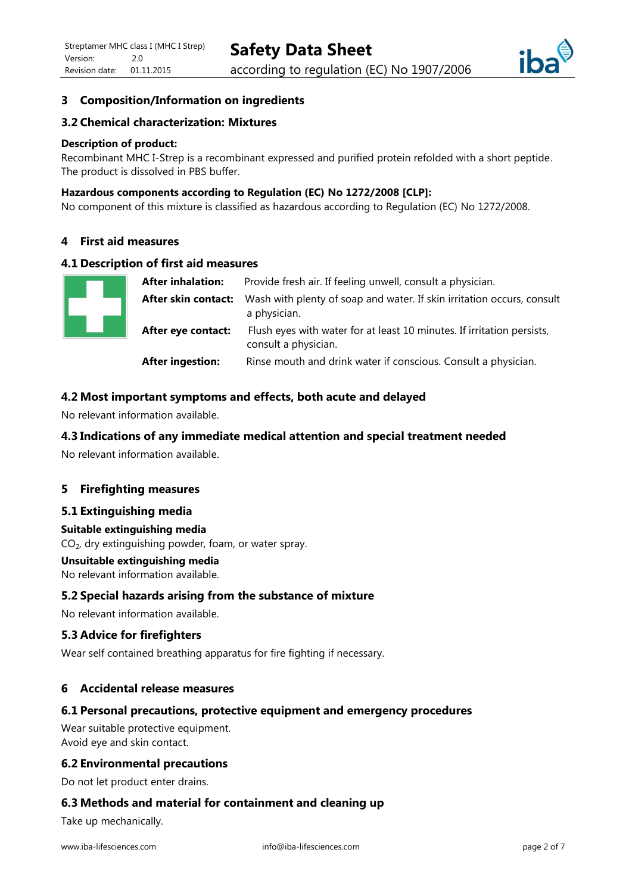

# **3 Composition/Information on ingredients**

## **3.2 Chemical characterization: Mixtures**

#### **Description of product:**

Recombinant MHC I-Strep is a recombinant expressed and purified protein refolded with a short peptide. The product is dissolved in PBS buffer.

#### **Hazardous components according to Regulation (EC) No 1272/2008 [CLP]:**

No component of this mixture is classified as hazardous according to Regulation (EC) No 1272/2008.

## **4 First aid measures**

#### **4.1 Description of first aid measures**

|  | <b>After inhalation:</b> | Provide fresh air. If feeling unwell, consult a physician.                                     |
|--|--------------------------|------------------------------------------------------------------------------------------------|
|  | After skin contact:      | Wash with plenty of soap and water. If skin irritation occurs, consult<br>a physician.         |
|  | After eye contact:       | Flush eyes with water for at least 10 minutes. If irritation persists,<br>consult a physician. |
|  | <b>After ingestion:</b>  | Rinse mouth and drink water if conscious. Consult a physician.                                 |

#### **4.2 Most important symptoms and effects, both acute and delayed**

No relevant information available.

#### **4.3 Indications of any immediate medical attention and special treatment needed**

No relevant information available.

#### **5 Firefighting measures**

#### **5.1 Extinguishing media**

#### **Suitable extinguishing media**

 $CO<sub>2</sub>$ , dry extinguishing powder, foam, or water spray.

#### **Unsuitable extinguishing media**

No relevant information available.

#### **5.2 Special hazards arising from the substance of mixture**

No relevant information available.

#### **5.3 Advice for firefighters**

Wear self contained breathing apparatus for fire fighting if necessary.

#### **6 Accidental release measures**

#### **6.1 Personal precautions, protective equipment and emergency procedures**

Wear suitable protective equipment. Avoid eye and skin contact.

#### **6.2 Environmental precautions**

Do not let product enter drains.

#### **6.3 Methods and material for containment and cleaning up**

Take up mechanically.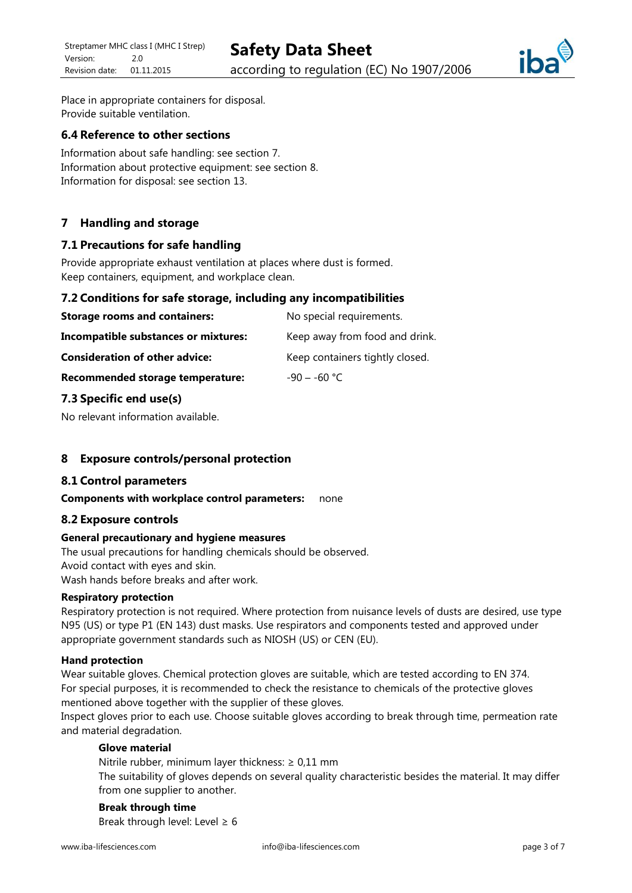

Place in appropriate containers for disposal. Provide suitable ventilation.

## **6.4 Reference to other sections**

Information about safe handling: see section 7. Information about protective equipment: see section 8. Information for disposal: see section 13.

## **7 Handling and storage**

## **7.1 Precautions for safe handling**

Provide appropriate exhaust ventilation at places where dust is formed. Keep containers, equipment, and workplace clean.

#### **7.2 Conditions for safe storage, including any incompatibilities**

| <b>Storage rooms and containers:</b>        | No special requirements.        |
|---------------------------------------------|---------------------------------|
| <b>Incompatible substances or mixtures:</b> | Keep away from food and drink.  |
| <b>Consideration of other advice:</b>       | Keep containers tightly closed. |
| Recommended storage temperature:            | $-90 - -60$ °C.                 |

#### **7.3 Specific end use(s)**

No relevant information available.

#### **8 Exposure controls/personal protection**

#### **8.1 Control parameters**

#### **Components with workplace control parameters:** none

#### **8.2 Exposure controls**

#### **General precautionary and hygiene measures**

The usual precautions for handling chemicals should be observed. Avoid contact with eyes and skin. Wash hands before breaks and after work.

#### **Respiratory protection**

Respiratory protection is not required. Where protection from nuisance levels of dusts are desired, use type N95 (US) or type P1 (EN 143) dust masks. Use respirators and components tested and approved under appropriate government standards such as NIOSH (US) or CEN (EU).

#### **Hand protection**

Wear suitable gloves. Chemical protection gloves are suitable, which are tested according to EN 374. For special purposes, it is recommended to check the resistance to chemicals of the protective gloves mentioned above together with the supplier of these gloves.

Inspect gloves prior to each use. Choose suitable gloves according to break through time, permeation rate and material degradation.

## **Glove material**

Nitrile rubber, minimum layer thickness:  $\geq 0.11$  mm The suitability of gloves depends on several quality characteristic besides the material. It may differ from one supplier to another.

**Break through time** Break through level: Level  $\geq 6$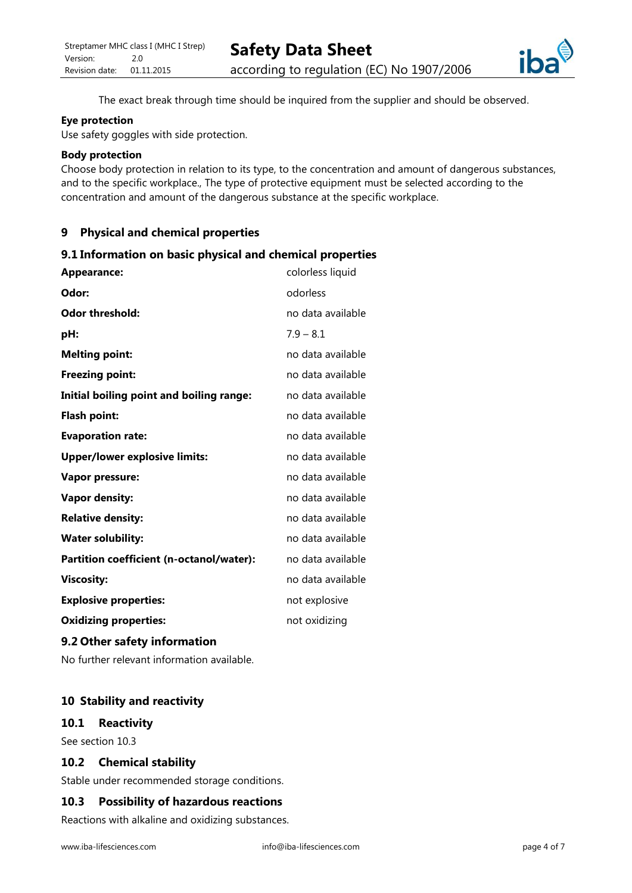

The exact break through time should be inquired from the supplier and should be observed.

#### **Eye protection**

Use safety goggles with side protection.

#### **Body protection**

Choose body protection in relation to its type, to the concentration and amount of dangerous substances, and to the specific workplace., The type of protective equipment must be selected according to the concentration and amount of the dangerous substance at the specific workplace.

## **9 Physical and chemical properties**

#### **9.1 Information on basic physical and chemical properties**

| <b>Appearance:</b>                       | colorless liquid  |
|------------------------------------------|-------------------|
| Odor:                                    | odorless          |
| Odor threshold:                          | no data available |
| pH:                                      | $7.9 - 8.1$       |
| <b>Melting point:</b>                    | no data available |
| <b>Freezing point:</b>                   | no data available |
| Initial boiling point and boiling range: | no data available |
| <b>Flash point:</b>                      | no data available |
| <b>Evaporation rate:</b>                 | no data available |
| <b>Upper/lower explosive limits:</b>     | no data available |
| <b>Vapor pressure:</b>                   | no data available |
| <b>Vapor density:</b>                    | no data available |
| <b>Relative density:</b>                 | no data available |
| <b>Water solubility:</b>                 | no data available |
| Partition coefficient (n-octanol/water): | no data available |
| <b>Viscosity:</b>                        | no data available |
| <b>Explosive properties:</b>             | not explosive     |
| <b>Oxidizing properties:</b>             | not oxidizing     |
|                                          |                   |

## **9.2 Other safety information**

No further relevant information available.

## **10 Stability and reactivity**

#### **10.1 Reactivity**

See section 10.3

## **10.2 Chemical stability**

Stable under recommended storage conditions.

#### **10.3 Possibility of hazardous reactions**

Reactions with alkaline and oxidizing substances.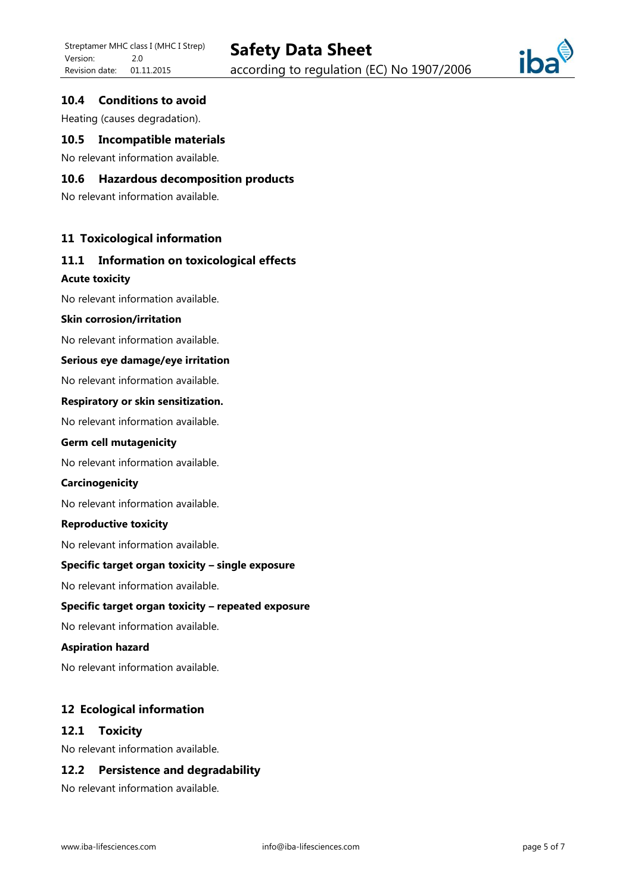

## **10.4 Conditions to avoid**

Heating (causes degradation).

## **10.5 Incompatible materials**

No relevant information available.

## **10.6 Hazardous decomposition products**

No relevant information available.

#### **11 Toxicological information**

# **11.1 Information on toxicological effects**

#### **Acute toxicity**

No relevant information available.

#### **Skin corrosion/irritation**

No relevant information available.

#### **Serious eye damage/eye irritation**

No relevant information available.

#### **Respiratory or skin sensitization.**

No relevant information available.

#### **Germ cell mutagenicity**

No relevant information available.

#### **Carcinogenicity**

No relevant information available.

#### **Reproductive toxicity**

No relevant information available.

#### **Specific target organ toxicity – single exposure**

No relevant information available.

#### **Specific target organ toxicity – repeated exposure**

No relevant information available.

#### **Aspiration hazard**

No relevant information available.

#### **12 Ecological information**

#### **12.1 Toxicity**

No relevant information available.

## **12.2 Persistence and degradability**

No relevant information available.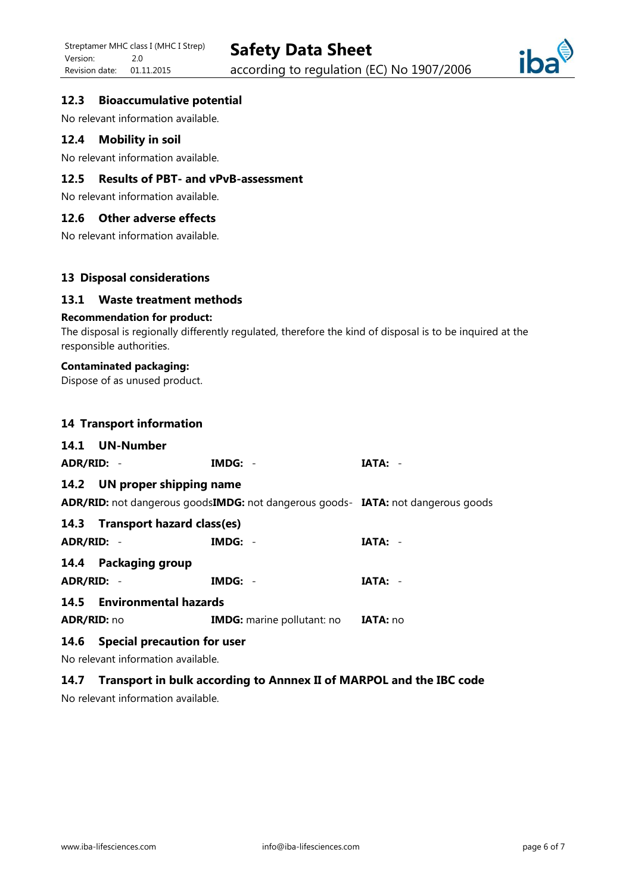

## **12.3 Bioaccumulative potential**

No relevant information available.

## **12.4 Mobility in soil**

No relevant information available.

# **12.5 Results of PBT- and vPvB-assessment**

No relevant information available.

## **12.6 Other adverse effects**

No relevant information available.

## **13 Disposal considerations**

## **13.1 Waste treatment methods**

#### **Recommendation for product:**

The disposal is regionally differently regulated, therefore the kind of disposal is to be inquired at the responsible authorities.

### **Contaminated packaging:**

Dispose of as unused product.

#### **14 Transport information**

| 14.1 UN-Number                   |                                                                                  |           |  |  |
|----------------------------------|----------------------------------------------------------------------------------|-----------|--|--|
| ADR/RID: -                       | $IMDG: -$                                                                        | $IATA: -$ |  |  |
| 14.2 UN proper shipping name     |                                                                                  |           |  |  |
|                                  | ADR/RID: not dangerous goodsIMDG: not dangerous goods- IATA: not dangerous goods |           |  |  |
| 14.3 Transport hazard class(es)  |                                                                                  |           |  |  |
| ADR/RID: -                       | $IMDG: -$                                                                        | IATA: -   |  |  |
| 14.4 Packaging group             |                                                                                  |           |  |  |
| ADR/RID: -                       | $IMDG: -$                                                                        | $IATA: -$ |  |  |
|                                  | 14.5 Environmental hazards                                                       |           |  |  |
| ADR/RID: no                      | <b>IMDG:</b> marine pollutant: no <b>IATA:</b> no                                |           |  |  |
| 14.6 Special precaution for user |                                                                                  |           |  |  |

No relevant information available.

## **14.7 Transport in bulk according to Annnex II of MARPOL and the IBC code**

No relevant information available.